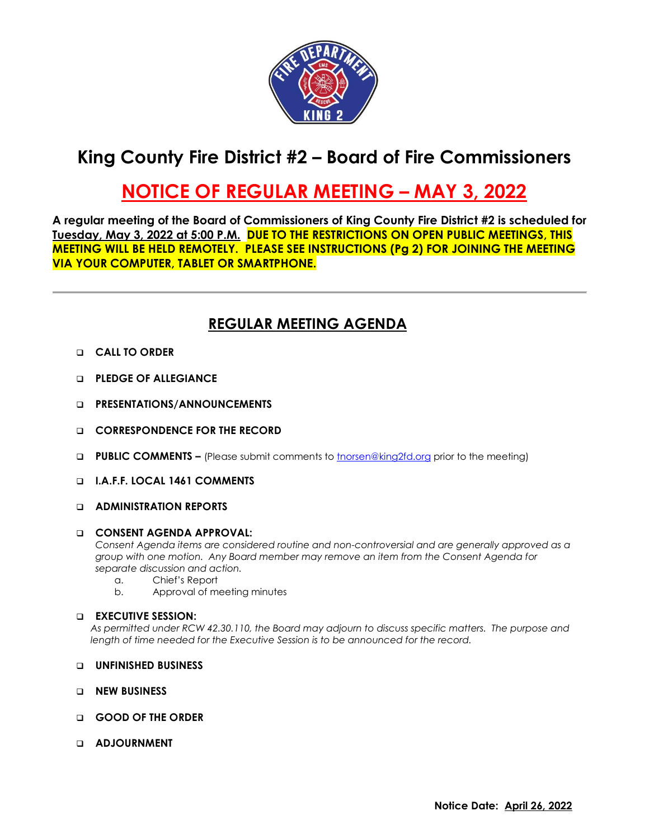

# **King County Fire District #2 – Board of Fire Commissioners**

## **NOTICE OF REGULAR MEETING – MAY 3, 2022**

**A regular meeting of the Board of Commissioners of King County Fire District #2 is scheduled for Tuesday, May 3, 2022 at 5:00 P.M. DUE TO THE RESTRICTIONS ON OPEN PUBLIC MEETINGS, THIS MEETING WILL BE HELD REMOTELY. PLEASE SEE INSTRUCTIONS (Pg 2) FOR JOINING THE MEETING VIA YOUR COMPUTER, TABLET OR SMARTPHONE.**

## **REGULAR MEETING AGENDA**

- ❑ **CALL TO ORDER**
- ❑ **PLEDGE OF ALLEGIANCE**
- ❑ **PRESENTATIONS/ANNOUNCEMENTS**
- ❑ **CORRESPONDENCE FOR THE RECORD**
- ❑ **PUBLIC COMMENTS –** (Please submit comments to [tnorsen@king2fd.org](mailto:tnorsen@king2fd.org) prior to the meeting)
- ❑ **I.A.F.F. LOCAL 1461 COMMENTS**
- ❑ **ADMINISTRATION REPORTS**

#### ❑ **CONSENT AGENDA APPROVAL:**

*Consent Agenda items are considered routine and non-controversial and are generally approved as a group with one motion. Any Board member may remove an item from the Consent Agenda for separate discussion and action.*

- a. Chief's Report
- b. Approval of meeting minutes

#### ❑ **EXECUTIVE SESSION:**

*As permitted under RCW 42.30.110, the Board may adjourn to discuss specific matters. The purpose and length of time needed for the Executive Session is to be announced for the record.*

- ❑ **UNFINISHED BUSINESS**
- ❑ **NEW BUSINESS**
- ❑ **GOOD OF THE ORDER**
- ❑ **ADJOURNMENT**